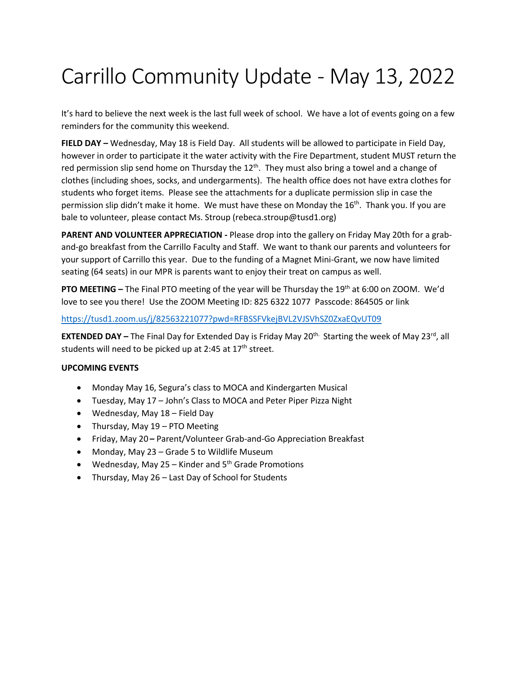## Carrillo Community Update - May 13, 2022

It's hard to believe the next week is the last full week of school. We have a lot of events going on a few reminders for the community this weekend.

**FIELD DAY –** Wednesday, May 18 is Field Day. All students will be allowed to participate in Field Day, however in order to participate it the water activity with the Fire Department, student MUST return the red permission slip send home on Thursday the  $12<sup>th</sup>$ . They must also bring a towel and a change of clothes (including shoes, socks, and undergarments). The health office does not have extra clothes for students who forget items. Please see the attachments for a duplicate permission slip in case the permission slip didn't make it home. We must have these on Monday the 16<sup>th</sup>. Thank you. If you are bale to volunteer, please contact Ms. Stroup (rebeca.stroup@tusd1.org)

**PARENT AND VOLUNTEER APPRECIATION -** Please drop into the gallery on Friday May 20th for a graband-go breakfast from the Carrillo Faculty and Staff. We want to thank our parents and volunteers for your support of Carrillo this year. Due to the funding of a Magnet Mini-Grant, we now have limited seating (64 seats) in our MPR is parents want to enjoy their treat on campus as well.

**PTO MEETING –** The Final PTO meeting of the year will be Thursday the 19th at 6:00 on ZOOM. We'd love to see you there! Use the ZOOM Meeting ID: 825 6322 1077 Passcode: 864505 or link

## <https://tusd1.zoom.us/j/82563221077?pwd=RFBSSFVkejBVL2VJSVhSZ0ZxaEQvUT09>

**EXTENDED DAY –** The Final Day for Extended Day is Friday May 20<sup>th.</sup> Starting the week of May 23<sup>rd</sup>, all students will need to be picked up at 2:45 at  $17<sup>th</sup>$  street.

## **UPCOMING EVENTS**

- Monday May 16, Segura's class to MOCA and Kindergarten Musical
- Tuesday, May 17 John's Class to MOCA and Peter Piper Pizza Night
- Wednesday, May 18 Field Day
- Thursday, May 19 PTO Meeting
- Friday, May 20 **–** Parent/Volunteer Grab-and-Go Appreciation Breakfast
- Monday, May 23 Grade 5 to Wildlife Museum
- Wednesday, May  $25 -$ Kinder and  $5<sup>th</sup>$  Grade Promotions
- Thursday, May 26 Last Day of School for Students